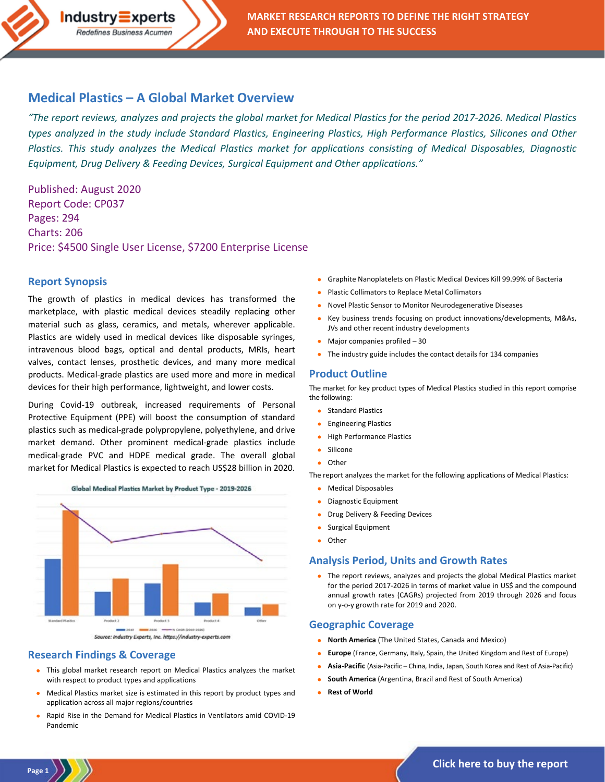### **Medical Plastics – [A Global Market Overview](https://industry-experts.com/verticals/chemicals-and-materials/medical-grade-plastics-market)**

 $Industry\equiv xperts$ Redefines Business Acumen

*"The report reviews, analyzes and projects the global market for Medical Plastics for the period 2017-2026. Medical Plastics types analyzed in the study include Standard Plastics, Engineering Plastics, High Performance Plastics, Silicones and Other Plastics. This study analyzes the Medical Plastics market for applications consisting of Medical Disposables, Diagnostic Equipment, Drug Delivery & Feeding Devices, Surgical Equipment and Other applications."*

Published: August 2020 Report Code: CP037 Pages: 294 Charts: 206 Price: \$4500 Single User License, \$7200 Enterprise License

#### **Report Synopsis**

The growth of plastics in medical devices has transformed the marketplace, with plastic medical devices steadily replacing other material such as glass, ceramics, and metals, wherever applicable. Plastics are widely used in medical devices like disposable syringes, intravenous blood bags, optical and dental products, MRIs, heart valves, contact lenses, prosthetic devices, and many more medical products. Medical-grade plastics are used more and more in medical devices for their high performance, lightweight, and lower costs.

During Covid-19 outbreak, increased requirements of Personal Protective Equipment (PPE) will boost the consumption of standard plastics such as medical-grade polypropylene, polyethylene, and drive market demand. Other prominent medical-grade plastics include medical-grade PVC and HDPE medical grade. The overall global market for Medical Plastics is expected to reach US\$28 billion in 2020.



#### **Research Findings & Coverage**

**Page 1**

- This global market research report on Medical Plastics analyzes the market with respect to product types and applications
- Medical Plastics market size is estimated in this report by product types and application across all major regions/countries
- Rapid Rise in the Demand for Medical Plastics in Ventilators amid COVID-19 Pandemic
- Graphite Nanoplatelets on Plastic Medical Devices Kill 99.99% of Bacteria
- Plastic Collimators to Replace Metal Collimators
- Novel Plastic Sensor to Monitor Neurodegenerative Diseases
- Key business trends focusing on product innovations/developments, M&As, JVs and other recent industry developments
- Major companies profiled 30
- The industry guide includes the contact details for 134 companies

#### **Product Outline**

The market for key product types of Medical Plastics studied in this report comprise the following:

- Standard Plastics
- Engineering Plastics
- High Performance Plastics
- Silicone
- Other

The report analyzes the market for the following applications of Medical Plastics:

- Medical Disposables
- Diagnostic Equipment
- Drug Delivery & Feeding Devices
- Surgical Equipment
- Other

#### **Analysis Period, Units and Growth Rates**

• The report reviews, analyzes and projects the global Medical Plastics market for the period 2017-2026 in terms of market value in US\$ and the compound annual growth rates (CAGRs) projected from 2019 through 2026 and focus on y-o-y growth rate for 2019 and 2020.

#### **Geographic Coverage**

- **North America** (The United States, Canada and Mexico)
- **Europe** (France, Germany, Italy, Spain, the United Kingdom and Rest of Europe)
- **Asia-Pacific** (Asia-Pacific China, India, Japan, South Korea and Rest of Asia-Pacific)
- **South America** (Argentina, Brazil and Rest of South America)
- **Rest of World**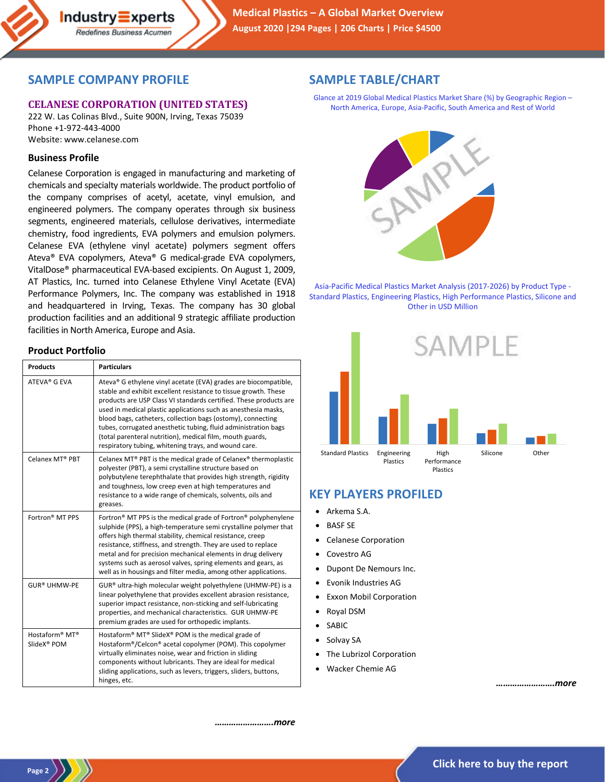# **SAMPLE COMPANY PROFILE**

Industry**≡**xperts Redefines Business Acumen

## **CELANESE CORPORATION (UNITED STATES)**

222 W. Las Colinas Blvd., Suite 900N, Irving, Texas 75039 Phone +1-972-443-4000 Website: www.celanese.com

### **Business Profile**

Celanese Corporation is engaged in manufacturing and marketing of chemicals and specialty materials worldwide. The product portfolio of the company comprises of acetyl, acetate, vinyl emulsion, and engineered polymers. The company operates through six business segments, engineered materials, cellulose derivatives, intermediate chemistry, food ingredients, EVA polymers and emulsion polymers. Celanese EVA (ethylene vinyl acetate) polymers segment offers Ateva® EVA copolymers, Ateva® G medical-grade EVA copolymers, VitalDose® pharmaceutical EVA-based excipients. On August 1, 2009, AT Plastics, Inc. turned into Celanese Ethylene Vinyl Acetate (EVA) Performance Polymers, Inc. The company was established in 1918 and headquartered in Irving, Texas. The company has 30 global production facilities and an additional 9 strategic affiliate production facilities in North America, Europe and Asia.

## **SAMPLE TABLE/CHART**

Glance at 2019 Global Medical Plastics Market Share (%) by Geographic Region – North America, Europe, Asia-Pacific, South America and Rest of World



Asia-Pacific Medical Plastics Market Analysis (2017-2026) by Product Type - Standard Plastics, Engineering Plastics, High Performance Plastics, Silicone and Other in USD Million



# **KEY PLAYERS PROFILED**

- Arkema S.A.
- BASF SE
- Celanese Corporation
- Covestro AG
- Dupont De Nemours Inc.
- Evonik Industries AG
- **Exxon Mobil Corporation**
- Royal DSM
- **SABIC**
- Solvay SA
- The Lubrizol Corporation
- Wacker Chemie AG

*…………………….more*

#### **Product Portfolio**

| <b>Products</b>                                       | <b>Particulars</b>                                                                                                                                                                                                                                                                                                                                                                                                                                                                                                              |
|-------------------------------------------------------|---------------------------------------------------------------------------------------------------------------------------------------------------------------------------------------------------------------------------------------------------------------------------------------------------------------------------------------------------------------------------------------------------------------------------------------------------------------------------------------------------------------------------------|
| ATFVA® G FVA                                          | Ateva® G ethylene vinyl acetate (EVA) grades are biocompatible,<br>stable and exhibit excellent resistance to tissue growth. These<br>products are USP Class VI standards certified. These products are<br>used in medical plastic applications such as anesthesia masks,<br>blood bags, catheters, collection bags (ostomy), connecting<br>tubes, corrugated anesthetic tubing, fluid administration bags<br>(total parenteral nutrition), medical film, mouth guards,<br>respiratory tubing, whitening trays, and wound care. |
| Celanex MT® PRT                                       | Celanex MT® PBT is the medical grade of Celanex® thermoplastic<br>polyester (PBT), a semi crystalline structure based on<br>polybutylene terephthalate that provides high strength, rigidity<br>and toughness, low creep even at high temperatures and<br>resistance to a wide range of chemicals, solvents, oils and<br>greases.                                                                                                                                                                                               |
| Fortron <sup>®</sup> MT PPS                           | Fortron <sup>®</sup> MT PPS is the medical grade of Fortron <sup>®</sup> polyphenylene<br>sulphide (PPS), a high-temperature semi crystalline polymer that<br>offers high thermal stability, chemical resistance, creep<br>resistance, stiffness, and strength. They are used to replace<br>metal and for precision mechanical elements in drug delivery<br>systems such as aerosol valves, spring elements and gears, as<br>well as in housings and filter media, among other applications.                                    |
| <b>GUR® UHMW-PE</b>                                   | GUR® ultra-high molecular weight polyethylene (UHMW-PE) is a<br>linear polyethylene that provides excellent abrasion resistance,<br>superior impact resistance, non-sticking and self-lubricating<br>properties, and mechanical characteristics. GUR UHMW-PE<br>premium grades are used for orthopedic implants.                                                                                                                                                                                                                |
| Hostaform <sup>®</sup> MT <sup>®</sup><br>SlideX® POM | Hostaform® MT® SlideX® POM is the medical grade of<br>Hostaform®/Celcon® acetal copolymer (POM). This copolymer<br>virtually eliminates noise, wear and friction in sliding<br>components without lubricants. They are ideal for medical<br>sliding applications, such as levers, triggers, sliders, buttons,<br>hinges, etc.                                                                                                                                                                                                   |

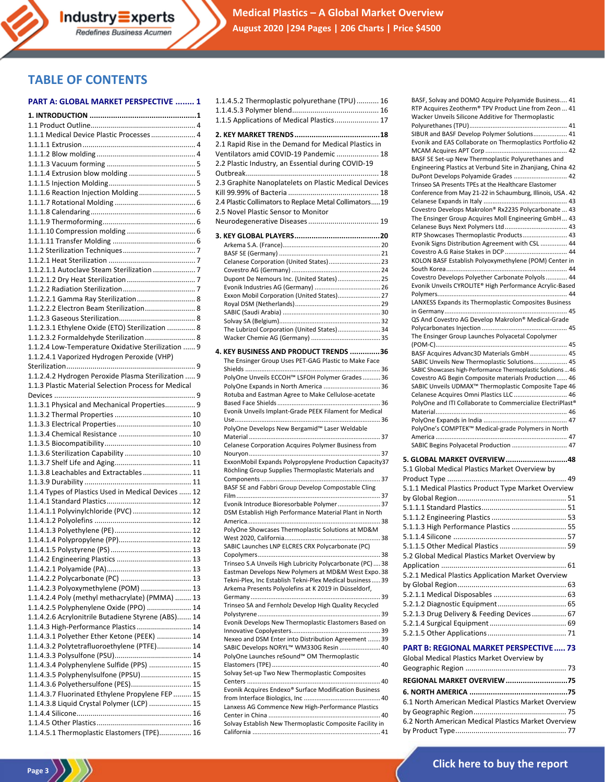## **TABLE OF CONTENTS**

#### **PART A: GLOBAL MARKET PERSPECTIVE ........ 1** 1.1.4.5.2 Thermoplastic polyurethane (TPU)........... 16

| 1.1.1 Medical Device Plastic Processes  4            |  |
|------------------------------------------------------|--|
|                                                      |  |
|                                                      |  |
|                                                      |  |
|                                                      |  |
|                                                      |  |
| 1.1.1.6 Reaction Injection Molding 5                 |  |
|                                                      |  |
|                                                      |  |
|                                                      |  |
|                                                      |  |
|                                                      |  |
|                                                      |  |
|                                                      |  |
|                                                      |  |
|                                                      |  |
|                                                      |  |
| 1.1.2.2.1 Gamma Ray Sterilization 8                  |  |
| 1.1.2.2.2 Electron Beam Sterilization 8              |  |
|                                                      |  |
| 1.1.2.3.1 Ethylene Oxide (ETO) Sterilization  8      |  |
| 1.1.2.3.2 Formaldehyde Sterilization  8              |  |
| 1.1.2.4 Low-Temperature Oxidative Sterilization  9   |  |
| 1.1.2.4.1 Vaporized Hydrogen Peroxide (VHP)          |  |
|                                                      |  |
| 1.1.2.4.2 Hydrogen Peroxide Plasma Sterilization  9  |  |
| 1.1.3 Plastic Material Selection Process for Medical |  |
|                                                      |  |
| 1.1.3.1 Physical and Mechanical Properties 9         |  |
|                                                      |  |
|                                                      |  |
|                                                      |  |
|                                                      |  |
| 1.1.3.6 Sterilization Capability  10                 |  |
|                                                      |  |
| 1.1.3.8 Leachables and Extractables 11               |  |
|                                                      |  |
| 1.1.4 Types of Plastics Used in Medical Devices  12  |  |
|                                                      |  |
| 1.1.4.1.1 Polyvinylchloride (PVC)  12                |  |
|                                                      |  |
|                                                      |  |
|                                                      |  |
|                                                      |  |
|                                                      |  |
|                                                      |  |
| 1.1.4.2.3 Polyoxymethylene (POM)  13                 |  |
| 1.1.4.2.4 Poly (methyl methacrylate) (PMMA)  13      |  |
| 1.1.4.2.5 Polyphenylene Oxide (PPO)  14              |  |
| 1.1.4.2.6 Acrylonitrile Butadiene Styrene (ABS) 14   |  |
| 1.1.4.3 High-Performance Plastics  14                |  |
| 1.1.4.3.1 Polyether Ether Ketone (PEEK)  14          |  |
| 1.1.4.3.2 Polytetrafluoroethylene (PTFE) 14          |  |
|                                                      |  |
| 1.1.4.3.4 Polyphenylene Sulfide (PPS)  15            |  |
| 1.1.4.3.5 Polyphenylsulfone (PPSU) 15                |  |
| 1.1.4.3.6 Polyethersulfone (PES) 15                  |  |
| 1.1.4.3.7 Fluorinated Ethylene Propylene FEP  15     |  |
| 1.1.4.3.8 Liquid Crystal Polymer (LCP)  15           |  |
|                                                      |  |
|                                                      |  |
| 1.1.4.5.1 Thermoplastic Elastomers (TPE) 16          |  |
|                                                      |  |

| 1.1.5 Applications of Medical Plastics 17                                                                                                                                                                                                                                                                      |  |
|----------------------------------------------------------------------------------------------------------------------------------------------------------------------------------------------------------------------------------------------------------------------------------------------------------------|--|
| 2.1 Rapid Rise in the Demand for Medical Plastics in<br>Ventilators amid COVID-19 Pandemic  18<br>2.2 Plastic Industry, an Essential during COVID-19<br>2.3 Graphite Nanoplatelets on Plastic Medical Devices<br>2.4 Plastic Collimators to Replace Metal Collimators19<br>2.5 Novel Plastic Sensor to Monitor |  |
|                                                                                                                                                                                                                                                                                                                |  |
| Celanese Corporation (United States) 23<br>Dupont De Nemours Inc. (United States)  25<br>Exxon Mobil Corporation (United States) 27<br>The Lubrizol Corporation (United States) 34                                                                                                                             |  |
| 4. KEY BUSINESS AND PRODUCT TRENDS 36                                                                                                                                                                                                                                                                          |  |
| The Ensinger Group Uses PET-GAG Plastic to Make Face                                                                                                                                                                                                                                                           |  |
| PolyOne Unveils ECCOH™ LSFOH Polymer Grades  36<br>PolyOne Expands in North America  36<br>Rotuba and Eastman Agree to Make Cellulose-acetate<br>Evonik Unveils Implant-Grade PEEK Filament for Medical<br>PolyOne Develops New Bergamid™ Laser Weldable                                                       |  |
|                                                                                                                                                                                                                                                                                                                |  |
| Celanese Corporation Acquires Polymer Business from<br>ExxonMobil Expands Polypropylene Production Capacity37                                                                                                                                                                                                  |  |
| Röchling Group Supplies Thermoplastic Materials and                                                                                                                                                                                                                                                            |  |
| BASF SE and Fabbri Group Develop Compostable Cling                                                                                                                                                                                                                                                             |  |
| Evonik Introduce Bioresorbable Polymer 37                                                                                                                                                                                                                                                                      |  |
| DSM Establish High Performance Material Plant in North                                                                                                                                                                                                                                                         |  |
| PolyOne Showcases Thermoplastic Solutions at MD&M<br>SABIC Launches LNP ELCRES CRX Polycarbonate (PC)                                                                                                                                                                                                          |  |
|                                                                                                                                                                                                                                                                                                                |  |
| Trinseo S.A Unveils High Lubricity Polycarbonate (PC)38<br>Eastman Develops New Polymers at MD&M West Expo. 38<br>Tekni-Plex, Inc Establish Tekni-Plex Medical business39<br>Arkema Presents Polyolefins at K 2019 in Düsseldorf,                                                                              |  |
| Trinseo SA and Fernholz Develop High Quality Recycled                                                                                                                                                                                                                                                          |  |
| Evonik Develops New Thermoplastic Elastomers Based on                                                                                                                                                                                                                                                          |  |
| Nexeo and DSM Enter into Distribution Agreement  39<br>SABIC Develops NORYL™ WM330G Resin  40<br>PolyOne Launches reSound™ OM Thermoplastic                                                                                                                                                                    |  |
| Solvay Set-up Two New Thermoplastic Composites                                                                                                                                                                                                                                                                 |  |
| Evonik Acquires Endexo® Surface Modification Business<br>Lanxess AG Commence New High-Performance Plastics                                                                                                                                                                                                     |  |
| Solvay Establish New Thermoplastic Composite Facility in                                                                                                                                                                                                                                                       |  |

| BASF, Solvay and DOMO Acquire Polyamide Business 41<br>RTP Acquires Zeotherm® TPV Product Line from Zeon  41<br>Wacker Unveils Silicone Additive for Thermoplastic |
|--------------------------------------------------------------------------------------------------------------------------------------------------------------------|
|                                                                                                                                                                    |
| SIBUR and BASF Develop Polymer Solutions 41<br>Evonik and EAS Collaborate on Thermoplastics Portfolio 42                                                           |
|                                                                                                                                                                    |
| BASF SE Set-up New Thermoplastic Polyurethanes and                                                                                                                 |
| Engineering Plastics at Verbund Site in Zhanjiang, China 42                                                                                                        |
| DuPont Develops Polyamide Grades  42                                                                                                                               |
| Trinseo SA Presents TPEs at the Healthcare Elastomer<br>Conference from May 21-22 in Schaumburg, Illinois, USA. 42                                                 |
|                                                                                                                                                                    |
| Covestro Develops Makrolon® Rx2235 Polycarbonate  43                                                                                                               |
| The Ensinger Group Acquires Moll Engineering GmbH 43                                                                                                               |
|                                                                                                                                                                    |
| RTP Showcases Thermoplastic Products 43                                                                                                                            |
| Evonik Signs Distribution Agreement with CSL  44                                                                                                                   |
|                                                                                                                                                                    |
| KOLON BASF Establish Polyoxymethylene (POM) Center in                                                                                                              |
|                                                                                                                                                                    |
| Covestro Develops Polyether Carbonate Polyols 44                                                                                                                   |
| Evonik Unveils CYROLITE® High Performance Acrylic-Based                                                                                                            |
| LANXESS Expands its Thermoplastic Composites Business                                                                                                              |
|                                                                                                                                                                    |
| QS And Covestro AG Develop Makrolon® Medical-Grade                                                                                                                 |
|                                                                                                                                                                    |
| The Ensinger Group Launches Polyacetal Copolymer                                                                                                                   |
|                                                                                                                                                                    |
| BASF Acquires Advanc3D Materials GmbH 45                                                                                                                           |
| SABIC Unveils New Thermoplastic Solutions 45                                                                                                                       |
| SABIC Showcases high-Performance Thermoplastic Solutions  46<br>Covestro AG Begin Composite materials Production  46                                               |
| SABIC Unveils UDMAX™ Thermoplastic Composite Tape 46                                                                                                               |
| Celanese Acquires Omni Plastics LLC  46                                                                                                                            |
| PolyOne and ITI Collaborate to Commercialize ElectriPlast®                                                                                                         |
|                                                                                                                                                                    |
|                                                                                                                                                                    |
| PolyOne's COMPTEK™ Medical-grade Polymers in North                                                                                                                 |
| SABIC Begins Polyacetal Production  47                                                                                                                             |
|                                                                                                                                                                    |
| 5. GLOBAL MARKET OVERVIEW 48                                                                                                                                       |
| 5.1 Global Medical Plastics Market Overview by                                                                                                                     |
|                                                                                                                                                                    |
| 5.1.1 Medical Plastics Product Type Market Overview                                                                                                                |
|                                                                                                                                                                    |
|                                                                                                                                                                    |
|                                                                                                                                                                    |
| 5.1.1.3 High Performance Plastics  55                                                                                                                              |
| 5.1.1.4 Silicone                                                                                                                                                   |
| 5.1.1.5 Other Medical Plastics  59                                                                                                                                 |
| 5.2 Global Medical Plastics Market Overview by                                                                                                                     |
|                                                                                                                                                                    |
| 5.2.1 Medical Plastics Application Market Overview                                                                                                                 |
|                                                                                                                                                                    |
|                                                                                                                                                                    |
|                                                                                                                                                                    |
| 5.2.1.3 Drug Delivery & Feeding Devices  67                                                                                                                        |
|                                                                                                                                                                    |
|                                                                                                                                                                    |
|                                                                                                                                                                    |
| PART B: REGIONAL MARKET PERSPECTIVE  73                                                                                                                            |
| Global Medical Plastics Market Overview by                                                                                                                         |
|                                                                                                                                                                    |
|                                                                                                                                                                    |

| <b>REGIONAL MARKET OVERVIEW 75</b>                  |
|-----------------------------------------------------|
|                                                     |
| 6.1 North American Medical Plastics Market Overview |
|                                                     |
| 6.2 North American Medical Plastics Market Overview |
|                                                     |
|                                                     |

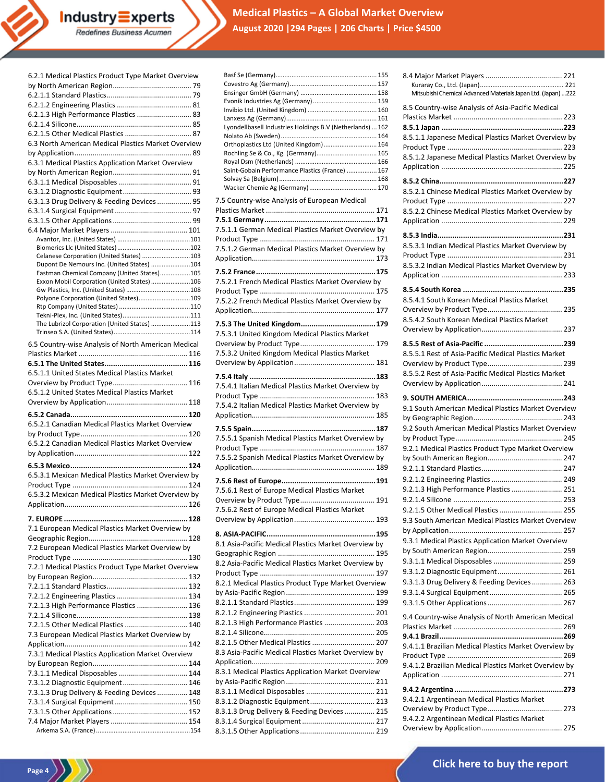# **Medical Plastics – A Global Market Overview August 2020 |294 Pages | 206 Charts | Price \$4500**

| 6.2.1 Medical Plastics Product Type Market Overview |
|-----------------------------------------------------|
|                                                     |
|                                                     |
|                                                     |
| 6.2.1.3 High Performance Plastics  83               |
|                                                     |
| 6.2.1.5 Other Medical Plastics  87                  |
| 6.3 North American Medical Plastics Market Overview |
|                                                     |
| 6.3.1 Medical Plastics Application Market Overview  |
|                                                     |
|                                                     |
|                                                     |
| 6.3.1.3 Drug Delivery & Feeding Devices  95         |
|                                                     |
|                                                     |
|                                                     |
|                                                     |
| Celanese Corporation (United States) 103            |
| Dupont De Nemours Inc. (United States) 104          |
| Eastman Chemical Company (United States)105         |
| Exxon Mobil Corporation (United States) 106         |
| Polyone Corporation (United States)109              |
|                                                     |
|                                                     |
| The Lubrizol Corporation (United States) 113        |
|                                                     |
| 6.5 Country-wise Analysis of North American Medical |
|                                                     |
|                                                     |
| 6.5.1.1 United States Medical Plastics Market       |
|                                                     |
| 6.5.1.2 United States Medical Plastics Market       |
|                                                     |
|                                                     |
|                                                     |
|                                                     |
| 6.5.2.1 Canadian Medical Plastics Market Overview   |
|                                                     |
| 6.5.2.2 Canadian Medical Plastics Market Overview   |
|                                                     |
|                                                     |
| 6.5.3.1 Mexican Medical Plastics Market Overview by |
|                                                     |
| 6.5.3.2 Mexican Medical Plastics Market Overview by |
|                                                     |
|                                                     |
| 7.1 European Medical Plastics Market Overview by    |
|                                                     |
| 7.2 European Medical Plastics Market Overview by    |
|                                                     |
| 7.2.1 Medical Plastics Product Type Market Overview |
|                                                     |
|                                                     |
|                                                     |
| 7.2.1.3 High Performance Plastics  136              |
|                                                     |
| 7.2.1.5 Other Medical Plastics  140                 |
| 7.3 European Medical Plastics Market Overview by    |
|                                                     |
| 7.3.1 Medical Plastics Application Market Overview  |
|                                                     |
| 7.3.1.1 Medical Disposables  144                    |
| 7.3.1.2 Diagnostic Equipment 146                    |
| 7.3.1.3 Drug Delivery & Feeding Devices  148        |
|                                                     |
|                                                     |
|                                                     |

**Industry Experts**<br>Redefines Business Acumen

**Page 4**  $\bigg)$ 

| Lyondellbasell Industries Holdings B.V (Netherlands)  162 |
|-----------------------------------------------------------|
|                                                           |
| Orthoplastics Ltd (United Kingdom) 164                    |
| Rochling Se & Co., Kg. (Germany) 165                      |
| Saint-Gobain Performance Plastics (France)  167           |
|                                                           |
|                                                           |
| 7.5 Country-wise Analysis of European Medical             |
|                                                           |
|                                                           |
| 7.5.1.1 German Medical Plastics Market Overview by        |
| 7.5.1.2 German Medical Plastics Market Overview by        |
|                                                           |
|                                                           |
| 7.5.2.1 French Medical Plastics Market Overview by        |
|                                                           |
| 7.5.2.2 French Medical Plastics Market Overview by        |
|                                                           |
|                                                           |
| 7.5.3.1 United Kingdom Medical Plastics Market            |
|                                                           |
| 7.5.3.2 United Kingdom Medical Plastics Market            |
|                                                           |
|                                                           |
| 7.5.4.1 Italian Medical Plastics Market Overview by       |
|                                                           |
| 7.5.4.2 Italian Medical Plastics Market Overview by       |
|                                                           |
|                                                           |
| 7.5.5.1 Spanish Medical Plastics Market Overview by       |
| 7.5.5.2 Spanish Medical Plastics Market Overview by       |
|                                                           |
|                                                           |
| 7.5.6.1 Rest of Europe Medical Plastics Market            |
|                                                           |
| 7.5.6.2 Rest of Europe Medical Plastics Market            |
|                                                           |
|                                                           |
| 8.1 Asia-Pacific Medical Plastics Market Overview by      |
|                                                           |
| 8.2 Asia-Pacific Medical Plastics Market Overview by      |
|                                                           |
| 8.2.1 Medical Plastics Product Type Market Overview       |
|                                                           |
|                                                           |
| 8.2.1.3 High Performance Plastics  203                    |
|                                                           |
| 8.2.1.5 Other Medical Plastics  207                       |
| 8.3 Asia-Pacific Medical Plastics Market Overview by      |
|                                                           |
| 8.3.1 Medical Plastics Application Market Overview        |
|                                                           |
| 8.3.1.2 Diagnostic Equipment 213                          |
| 8.3.1.3 Drug Delivery & Feeding Devices  215              |
|                                                           |
|                                                           |
|                                                           |

| Mitsubishi Chemical Advanced Materials Japan Ltd. (Japan) 222                                                                                                     |
|-------------------------------------------------------------------------------------------------------------------------------------------------------------------|
| 8.5 Country-wise Analysis of Asia-Pacific Medical<br>8.5.1.1 Japanese Medical Plastics Market Overview by<br>8.5.1.2 Japanese Medical Plastics Market Overview by |
| 8.5.2.1 Chinese Medical Plastics Market Overview by<br>8.5.2.2 Chinese Medical Plastics Market Overview by                                                        |
| 8.5.3.1 Indian Medical Plastics Market Overview by<br>8.5.3.2 Indian Medical Plastics Market Overview by                                                          |
|                                                                                                                                                                   |
| 8.5.4.1 South Korean Medical Plastics Market<br>8.5.4.2 South Korean Medical Plastics Market                                                                      |
| 8.5.5.1 Rest of Asia-Pacific Medical Plastics Market<br>8.5.5.2 Rest of Asia-Pacific Medical Plastics Market                                                      |
|                                                                                                                                                                   |
|                                                                                                                                                                   |
| 9.1 South American Medical Plastics Market Overview<br>9.2 South American Medical Plastics Market Overview                                                        |
| 9.2.1 Medical Plastics Product Type Market Overview                                                                                                               |
|                                                                                                                                                                   |
|                                                                                                                                                                   |
| 9.2.1.3 High Performance Plastics  251                                                                                                                            |
| 9.2.1.5 Other Medical Plastics  255                                                                                                                               |
| 9.3 South American Medical Plastics Market Overview                                                                                                               |
| 9.3.1 Medical Plastics Application Market Overview                                                                                                                |
|                                                                                                                                                                   |
| 9.3.1.1 Medical Disposables  259                                                                                                                                  |
| 9.3.1.2 Diagnostic Equipment 261                                                                                                                                  |
| 9.3.1.3 Drug Delivery & Feeding Devices  263                                                                                                                      |
|                                                                                                                                                                   |
| 9.4 Country-wise Analysis of North American Medical                                                                                                               |
|                                                                                                                                                                   |
| 9.4.1.1 Brazilian Medical Plastics Market Overview by                                                                                                             |
| 9.4.1.2 Brazilian Medical Plastics Market Overview by                                                                                                             |
|                                                                                                                                                                   |
| 9.4.2.1 Argentinean Medical Plastics Market<br>9.4.2.2 Argentinean Medical Plastics Market                                                                        |